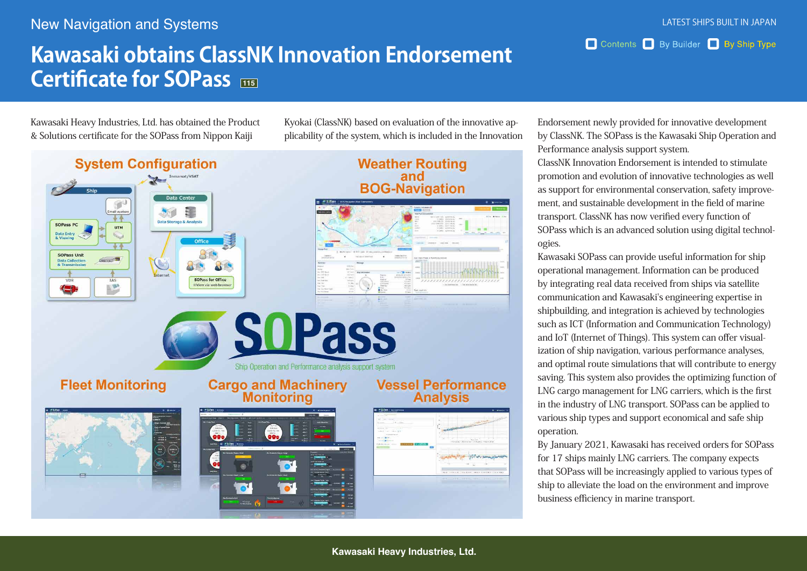## **New Navigation and Systems**

## **Kawasaki obtains ClassNK Innovation Endorsement Certificate for SOPass**

Kawasaki Heavy Industries, Ltd. has obtained the Product & Solutions certificate for the SOPass from Nippon Kaiji

plicability of the system, which is included in the Innovation Kyokai (ClassNK) based on evaluation of the innovative ap-



Endorsement newly provided for innovative development by ClassNK. The SOPass is the Kawasaki Ship Operation and Performance analysis support system.

Contents By Builder By Ship Type

ClassNK Innovation Endorsement is intended to stimulate promotion and evolution of innovative technologies as well ment, and sustainable development in the field of marine as support for environmental conservation, safety improvetransport. ClassNK has now verified every function of SOPass which is an advanced solution using digital technol-<br>ogies.

Kawasaki SOPass can provide useful information for ship operational management. Information can be produced by integrating real data received from ships via satellite communication and Kawasaki's engineering expertise in shipbuilding, and integration is achieved by technologies such as ICT (Information and Communication Technology) ization of ship navigation, various performance analyses, and IoT (Internet of Things). This system can offer visualand optimal route simulations that will contribute to energy saving. This system also provides the optimizing function of LNG cargo management for LNG carriers, which is the first in the industry of LNG transport. SOPass can be applied to various ship types and support economical and safe ship .operation

By January 2021, Kawasaki has received orders for SOPass for 17 ships mainly LNG carriers. The company expects that SOPass will be increasingly applied to various types of ship to alleviate the load on the environment and improve business efficiency in marine transport.